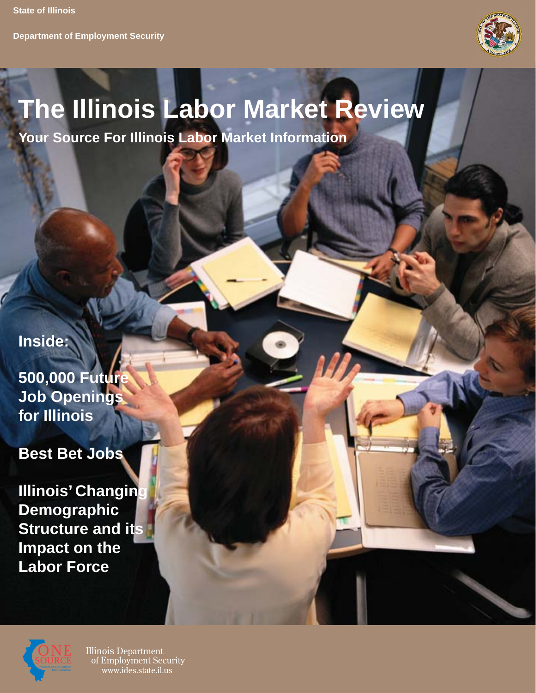**Department of Employment Security**



# **The Illinois Labor Market Review**

**Your Source For Illinois Labor Market Information**

**Inside:**

**500,000 Future Job Openings for Illinois**

**Best Bet Jobs**

**Illinois' Changin Demographic Structure and its Impact on the Labor Force**



Illinois Department of Employment Security www.ides.state.il.us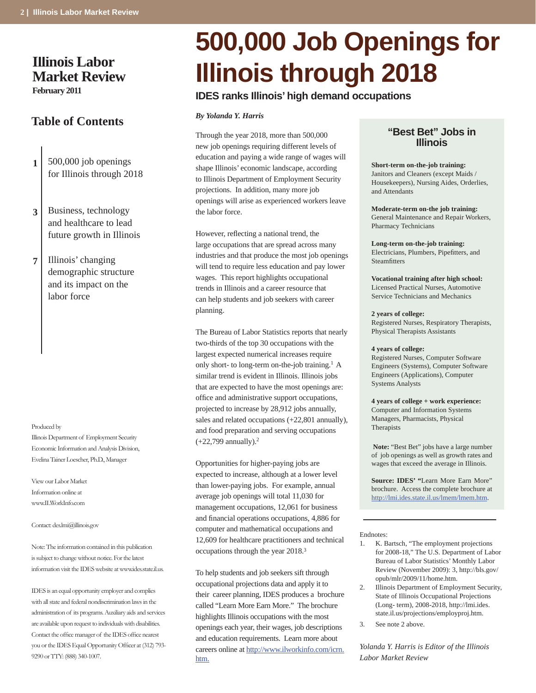# **Illinois Labor Market Review February 2011**

# **Table of Contents**

- **1** 500,000 job openings for Illinois through 2018
- **3** Business, technology and healthcare to lead future growth in Illinois
- **7** Illinois' changing demographic structure and its impact on the labor force

#### Produced by

Illinois Department of Employment Security Economic Information and Analysis Division, Evelina Tainer Loescher, Ph.D., Manager

View our Labor Market Information online at www.ILWorkInfo.com

Contact: des.lmi@illinois.gov

Note: The information contained in this publication is subject to change without notice. For the latest information visit the IDES website at www.ides.state.il.us.

IDES is an equal opportunity employer and complies with all state and federal nondiscrimination laws in the administration of its programs. Auxiliary aids and services are available upon request to individuals with disabilities. Contact the office manager of the IDES office nearest you or the IDES Equal Opportunity Officer at (312) 793-9290 or TTY: (888) 340-1007.

# **500,000 Job Openings for Illinois through 2018**

# **IDES ranks Illinois' high demand occupations**

#### *By Yolanda Y. Harris*

Through the year 2018, more than 500,000 new job openings requiring different levels of education and paying a wide range of wages will shape Illinois' economic landscape, according to Illinois Department of Employment Security projections. In addition, many more job openings will arise as experienced workers leave the labor force.

However, reflecting a national trend, the large occupations that are spread across many industries and that produce the most job openings will tend to require less education and pay lower wages. This report highlights occupational trends in Illinois and a career resource that can help students and job seekers with career planning.

The Bureau of Labor Statistics reports that nearly two-thirds of the top 30 occupations with the largest expected numerical increases require only short- to long-term on-the-job training.1 A similar trend is evident in Illinois. Illinois jobs that are expected to have the most openings are: office and administrative support occupations, projected to increase by 28,912 jobs annually, sales and related occupations (+22,801 annually), and food preparation and serving occupations (+22,799 annually).2

Opportunities for higher-paying jobs are expected to increase, although at a lower level than lower-paying jobs. For example, annual average job openings will total 11,030 for management occupations, 12,061 for business and financial operations occupations, 4,886 for computer and mathematical occupations and 12,609 for healthcare practitioners and technical occupations through the year 2018.3

To help students and job seekers sift through occupational projections data and apply it to their career planning, IDES produces a brochure called "Learn More Earn More." The brochure highlights Illinois occupations with the most openings each year, their wages, job descriptions and education requirements. Learn more about careers online at http://www.ilworkinfo.com/icrn. htm.

# **"Best Bet" Jobs in Illinois**

**Short-term on-the-job training:** Janitors and Cleaners (except Maids / Housekeepers), Nursing Aides, Orderlies, and Attendants

**Moderate-term on-the job training:** General Maintenance and Repair Workers, Pharmacy Technicians

**Long-term on-the-job training:** Electricians, Plumbers, Pipefitters, and **Steamfitters** 

**Vocational training after high school:** Licensed Practical Nurses, Automotive Service Technicians and Mechanics

#### **2 years of college:**

Registered Nurses, Respiratory Therapists, Physical Therapists Assistants

#### **4 years of college:**

Registered Nurses, Computer Software Engineers (Systems), Computer Software Engineers (Applications), Computer Systems Analysts

**4 years of college + work experience:**

Computer and Information Systems Managers, Pharmacists, Physical **Therapists** 

 **Note:** "Best Bet" jobs have a large number of job openings as well as growth rates and wages that exceed the average in Illinois.

**Source: IDES' "**Learn More Earn More" brochure. Access the complete brochure at http://lmi.ides.state.il.us/lmem/lmem.htm.

#### Endnotes:

- K. Bartsch, "The employment projections for 2008-18," The U.S. Department of Labor Bureau of Labor Statistics' Monthly Labor Review (November 2009): 3, http://bls.gov/ opub/mlr/2009/11/home.htm. 1.
- Illinois Department of Employment Security, State of Illinois Occupational Projections (Long- term), 2008-2018, http://lmi.ides. state.il.us/projections/employproj.htm. 2.
- See note 2 above. 3.

*Yolanda Y. Harris is Editor of the Illinois Labor Market Review*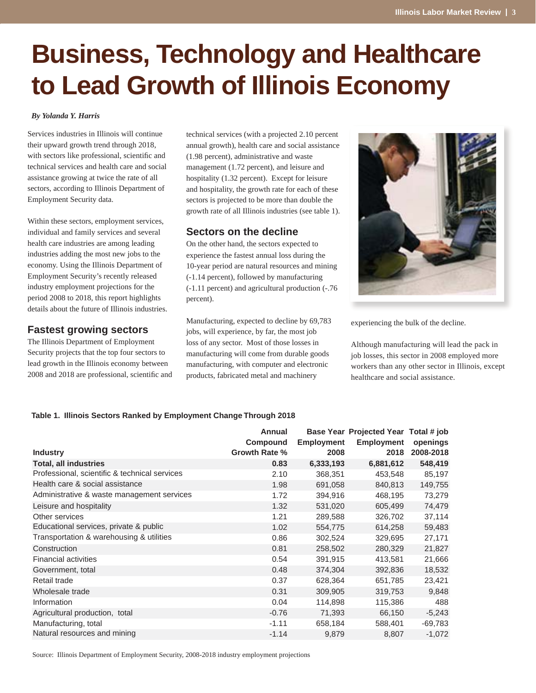# **Business, Technology and Healthcare to Lead Growth of Illinois Economy**

#### *By Yolanda Y. Harris*

Services industries in Illinois will continue their upward growth trend through 2018, with sectors like professional, scientific and technical services and health care and social assistance growing at twice the rate of all sectors, according to Illinois Department of Employment Security data.

Within these sectors, employment services, individual and family services and several health care industries are among leading industries adding the most new jobs to the economy. Using the Illinois Department of Employment Security's recently released industry employment projections for the period 2008 to 2018, this report highlights details about the future of Illinois industries.

# **Fastest growing sectors**

The Illinois Department of Employment Security projects that the top four sectors to lead growth in the Illinois economy between 2008 and 2018 are professional, scientific and technical services (with a projected 2.10 percent annual growth), health care and social assistance (1.98 percent), administrative and waste management (1.72 percent), and leisure and hospitality (1.32 percent). Except for leisure and hospitality, the growth rate for each of these sectors is projected to be more than double the growth rate of all Illinois industries (see table 1).

# **Sectors on the decline**

On the other hand, the sectors expected to experience the fastest annual loss during the 10-year period are natural resources and mining (-1.14 percent), followed by manufacturing (-1.11 percent) and agricultural production (-.76 percent).

Manufacturing, expected to decline by 69,783 jobs, will experience, by far, the most job loss of any sector. Most of those losses in manufacturing will come from durable goods manufacturing, with computer and electronic products, fabricated metal and machinery



experiencing the bulk of the decline.

Although manufacturing will lead the pack in job losses, this sector in 2008 employed more workers than any other sector in Illinois, except healthcare and social assistance.

#### **Table 1. Illinois Sectors Ranked by Employment Change Through 2018**

| <b>Industry</b>                               | Annual<br>Compound<br>Growth Rate % | <b>Employment</b><br>2008 | Base Year Projected Year Total # job<br><b>Employment</b><br>2018 | openings<br>2008-2018 |
|-----------------------------------------------|-------------------------------------|---------------------------|-------------------------------------------------------------------|-----------------------|
| <b>Total, all industries</b>                  | 0.83                                | 6,333,193                 | 6,881,612                                                         | 548,419               |
| Professional, scientific & technical services | 2.10                                | 368,351                   | 453,548                                                           | 85,197                |
| Health care & social assistance               | 1.98                                | 691,058                   | 840,813                                                           | 149,755               |
| Administrative & waste management services    | 1.72                                | 394,916                   | 468,195                                                           | 73,279                |
| Leisure and hospitality                       | 1.32                                | 531,020                   | 605,499                                                           | 74,479                |
| Other services                                | 1.21                                | 289,588                   | 326,702                                                           | 37,114                |
| Educational services, private & public        | 1.02                                | 554,775                   | 614,258                                                           | 59,483                |
| Transportation & warehousing & utilities      | 0.86                                | 302,524                   | 329,695                                                           | 27,171                |
| Construction                                  | 0.81                                | 258,502                   | 280,329                                                           | 21,827                |
| <b>Financial activities</b>                   | 0.54                                | 391,915                   | 413,581                                                           | 21,666                |
| Government, total                             | 0.48                                | 374,304                   | 392,836                                                           | 18,532                |
| Retail trade                                  | 0.37                                | 628,364                   | 651,785                                                           | 23,421                |
| Wholesale trade                               | 0.31                                | 309,905                   | 319,753                                                           | 9,848                 |
| Information                                   | 0.04                                | 114,898                   | 115,386                                                           | 488                   |
| Agricultural production, total                | $-0.76$                             | 71,393                    | 66,150                                                            | $-5,243$              |
| Manufacturing, total                          | $-1.11$                             | 658,184                   | 588,401                                                           | -69,783               |
| Natural resources and mining                  | $-1.14$                             | 9,879                     | 8,807                                                             | $-1,072$              |

Source: Illinois Department of Employment Security, 2008-2018 industry employment projections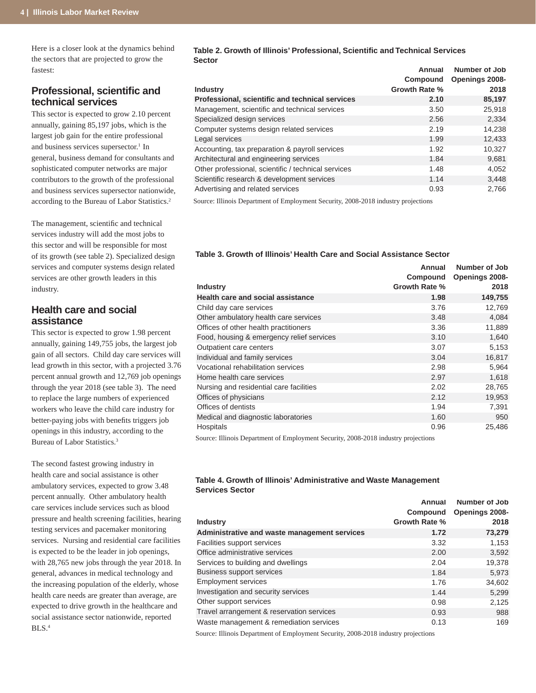Here is a closer look at the dynamics behind the sectors that are projected to grow the fastest:

# **Professional, scientifi c and technical services**

This sector is expected to grow 2.10 percent annually, gaining 85,197 jobs, which is the largest job gain for the entire professional and business services supersector.<sup>1</sup> In general, business demand for consultants and sophisticated computer networks are major contributors to the growth of the professional and business services supersector nationwide, according to the Bureau of Labor Statistics.2

The management, scientific and technical services industry will add the most jobs to this sector and will be responsible for most of its growth (see table 2). Specialized design services and computer systems design related services are other growth leaders in this industry.

# **Health care and social assistance**

This sector is expected to grow 1.98 percent annually, gaining 149,755 jobs, the largest job gain of all sectors. Child day care services will lead growth in this sector, with a projected 3.76 percent annual growth and 12,769 job openings through the year 2018 (see table 3). The need to replace the large numbers of experienced workers who leave the child care industry for better-paying jobs with benefits triggers job openings in this industry, according to the Bureau of Labor Statistics.3

The second fastest growing industry in health care and social assistance is other ambulatory services, expected to grow 3.48 percent annually. Other ambulatory health care services include services such as blood pressure and health screening facilities, hearing testing services and pacemaker monitoring services. Nursing and residential care facilities is expected to be the leader in job openings, with 28,765 new jobs through the year 2018. In general, advances in medical technology and the increasing population of the elderly, whose health care needs are greater than average, are expected to drive growth in the healthcare and social assistance sector nationwide, reported BLS.4

#### **Table 2. Growth of Illinois' Professional, Scientific and Technical Services Sector**

|                                                     | Annual               | <b>Number of Job</b> |
|-----------------------------------------------------|----------------------|----------------------|
|                                                     | Compound             | Openings 2008-       |
| <b>Industry</b>                                     | <b>Growth Rate %</b> | 2018                 |
| Professional, scientific and technical services     | 2.10                 | 85,197               |
| Management, scientific and technical services       | 3.50                 | 25,918               |
| Specialized design services                         | 2.56                 | 2,334                |
| Computer systems design related services            | 2.19                 | 14,238               |
| Legal services                                      | 1.99                 | 12,433               |
| Accounting, tax preparation & payroll services      | 1.92                 | 10,327               |
| Architectural and engineering services              | 1.84                 | 9.681                |
| Other professional, scientific / technical services | 1.48                 | 4,052                |
| Scientific research & development services          | 1.14                 | 3,448                |
| Advertising and related services                    | 0.93                 | 2,766                |

Source: Illinois Department of Employment Security, 2008-2018 industry projections

### **Table 3. Growth of Illinois' Health Care and Social Assistance Sector**

|                                           | Annual        | <b>Number of Job</b> |
|-------------------------------------------|---------------|----------------------|
|                                           | Compound      | Openings 2008-       |
| <b>Industry</b>                           | Growth Rate % | 2018                 |
| <b>Health care and social assistance</b>  | 1.98          | 149,755              |
| Child day care services                   | 3.76          | 12,769               |
| Other ambulatory health care services     | 3.48          | 4,084                |
| Offices of other health practitioners     | 3.36          | 11,889               |
| Food, housing & emergency relief services | 3.10          | 1,640                |
| Outpatient care centers                   | 3.07          | 5,153                |
| Individual and family services            | 3.04          | 16,817               |
| Vocational rehabilitation services        | 2.98          | 5,964                |
| Home health care services                 | 2.97          | 1,618                |
| Nursing and residential care facilities   | 2.02          | 28,765               |
| Offices of physicians                     | 2.12          | 19,953               |
| Offices of dentists                       | 1.94          | 7,391                |
| Medical and diagnostic laboratories       | 1.60          | 950                  |
| Hospitals                                 | 0.96          | 25,486               |

Source: Illinois Department of Employment Security, 2008-2018 industry projections

#### **Table 4. Growth of Illinois' Administrative and Waste Management Services Sector**

|                                                                                                    | Annual<br>Compound   | Number of Job<br>Openings 2008- |
|----------------------------------------------------------------------------------------------------|----------------------|---------------------------------|
| <b>Industry</b>                                                                                    | <b>Growth Rate %</b> | 2018                            |
| Administrative and waste management services                                                       | 1.72                 | 73,279                          |
| Facilities support services                                                                        | 3.32                 | 1,153                           |
| Office administrative services                                                                     | 2.00                 | 3,592                           |
| Services to building and dwellings                                                                 | 2.04                 | 19,378                          |
| <b>Business support services</b>                                                                   | 1.84                 | 5,973                           |
| <b>Employment services</b>                                                                         | 1.76                 | 34,602                          |
| Investigation and security services                                                                | 1.44                 | 5,299                           |
| Other support services                                                                             | 0.98                 | 2,125                           |
| Travel arrangement & reservation services                                                          | 0.93                 | 988                             |
| Waste management & remediation services                                                            | 0.13                 | 169                             |
| $\alpha$ This is December of Findian and $\alpha$ -collected $\alpha$ 000 0010 in decomposition is |                      |                                 |

Source: Illinois Department of Employment Security, 2008-2018 industry projections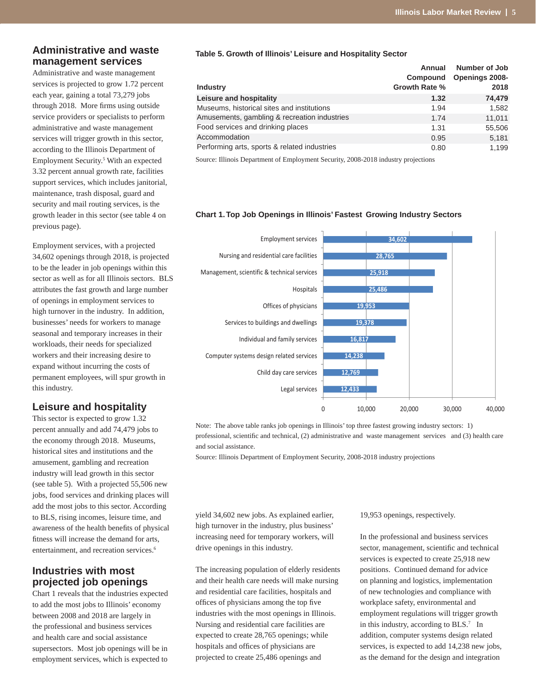# **Administrative and waste management services**

Administrative and waste management services is projected to grow 1.72 percent each year, gaining a total 73,279 jobs through 2018. More firms using outside service providers or specialists to perform administrative and waste management services will trigger growth in this sector, according to the Illinois Department of Employment Security.5 With an expected 3.32 percent annual growth rate, facilities support services, which includes janitorial, maintenance, trash disposal, guard and security and mail routing services, is the growth leader in this sector (see table 4 on previous page).

Employment services, with a projected 34,602 openings through 2018, is projected to be the leader in job openings within this sector as well as for all Illinois sectors. BLS attributes the fast growth and large number of openings in employment services to high turnover in the industry. In addition, businesses' needs for workers to manage seasonal and temporary increases in their workloads, their needs for specialized workers and their increasing desire to expand without incurring the costs of permanent employees, will spur growth in this industry.

# **Leisure and hospitality**

This sector is expected to grow 1.32 percent annually and add 74,479 jobs to the economy through 2018. Museums, historical sites and institutions and the amusement, gambling and recreation industry will lead growth in this sector (see table 5). With a projected 55,506 new jobs, food services and drinking places will add the most jobs to this sector. According to BLS, rising incomes, leisure time, and awareness of the health benefits of physical fitness will increase the demand for arts, entertainment, and recreation services.<sup>6</sup>

# **Industries with most projected job openings**

Chart 1 reveals that the industries expected to add the most jobs to Illinois' economy between 2008 and 2018 are largely in the professional and business services and health care and social assistance supersectors. Most job openings will be in employment services, which is expected to

#### **Table 5. Growth of Illinois' Leisure and Hospitality Sector**

|                                              | Annual<br>Compound   | <b>Number of Job</b><br><b>Openings 2008-</b> |
|----------------------------------------------|----------------------|-----------------------------------------------|
| <b>Industry</b>                              | <b>Growth Rate %</b> | 2018                                          |
| Leisure and hospitality                      | 1.32                 | 74,479                                        |
| Museums, historical sites and institutions   | 1.94                 | 1,582                                         |
| Amusements, gambling & recreation industries | 1.74                 | 11,011                                        |
| Food services and drinking places            | 1.31                 | 55,506                                        |
| Accommodation                                | 0.95                 | 5,181                                         |
| Performing arts, sports & related industries | 0.80                 | 1,199                                         |
|                                              |                      |                                               |

Source: Illinois Department of Employment Security, 2008-2018 industry projections

## **Chart 1. Top Job Openings in Illinois' Fastest Growing Industry Sectors**



Note: The above table ranks job openings in Illinois' top three fastest growing industry sectors: 1) professional, scientific and technical, (2) administrative and waste management services and (3) health care and social assistance.

Source: Illinois Department of Employment Security, 2008-2018 industry projections

yield 34,602 new jobs. As explained earlier, high turnover in the industry, plus business' increasing need for temporary workers, will drive openings in this industry.

The increasing population of elderly residents and their health care needs will make nursing and residential care facilities, hospitals and offices of physicians among the top five industries with the most openings in Illinois. Nursing and residential care facilities are expected to create 28,765 openings; while hospitals and offices of physicians are projected to create 25,486 openings and

19,953 openings, respectively.

In the professional and business services sector, management, scientific and technical services is expected to create 25,918 new positions. Continued demand for advice on planning and logistics, implementation of new technologies and compliance with workplace safety, environmental and employment regulations will trigger growth in this industry, according to BLS.<sup>7</sup> In addition, computer systems design related services, is expected to add 14,238 new jobs, as the demand for the design and integration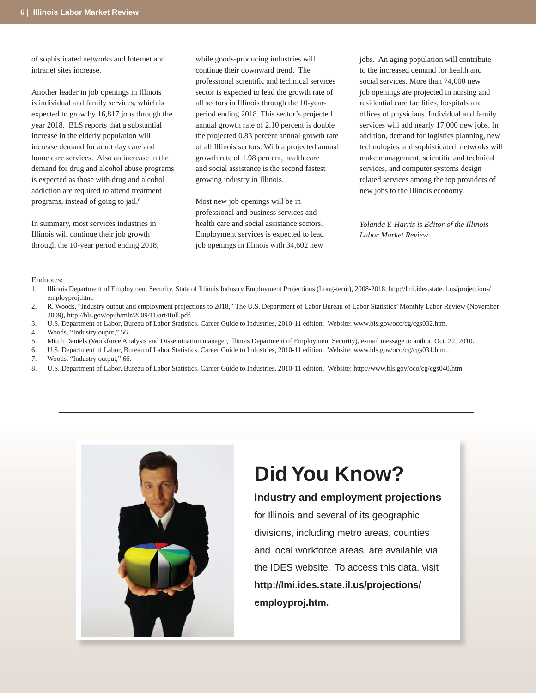of sophisticated networks and Internet and intranet sites increase.

Another leader in job openings in Illinois is individual and family services, which is expected to grow by 16,817 jobs through the year 2018. BLS reports that a substantial increase in the elderly population will increase demand for adult day care and home care services. Also an increase in the demand for drug and alcohol abuse programs is expected as those with drug and alcohol addiction are required to attend treatment programs, instead of going to jail.<sup>8</sup>

In summary, most services industries in Illinois will continue their job growth through the 10-year period ending 2018, while goods-producing industries will continue their downward trend. The professional scientific and technical services sector is expected to lead the growth rate of all sectors in Illinois through the 10-yearperiod ending 2018. This sector's projected annual growth rate of 2.10 percent is double the projected 0.83 percent annual growth rate of all Illinois sectors. With a projected annual growth rate of 1.98 percent, health care and social assistance is the second fastest growing industry in Illinois.

Most new job openings will be in professional and business services and health care and social assistance sectors. Employment services is expected to lead job openings in Illinois with 34,602 new

jobs. An aging population will contribute to the increased demand for health and social services. More than 74,000 new job openings are projected in nursing and residential care facilities, hospitals and offices of physicians. Individual and family services will add nearly 17,000 new jobs. In addition, demand for logistics planning, new technologies and sophisticated networks will make management, scientific and technical services, and computer systems design related services among the top providers of new jobs to the Illinois economy.

*Yolanda Y. Harris is Editor of the Illinois Labor Market Review*

#### Endnotes:

- Illinois Department of Employment Security, State of Illinois Industry Employment Projections (Long-term), 2008-2018, http://lmi.ides.state.il.us/projections/ employproj.htm. 1.
- R. Woods, "Industry output and employment projections to 2018," The U.S. Department of Labor Bureau of Labor Statistics' Monthly Labor Review (November 2009), http://bls.gov/opub/mlr/2009/11/art4full.pdf.  $\mathcal{D}$
- U.S. Department of Labor, Bureau of Labor Statistics. Career Guide to Industries, 2010-11 edition. Website: www.bls.gov/oco/cg/cgs032.htm. 3.
- Woods, "Industry ouput," 56. 4.
- Mitch Daniels (Workforce Analysis and Dissemination manager, Illinois Department of Employment Security), e-mail message to author, Oct. 22, 2010. 5.
- U.S. Department of Labor, Bureau of Labor Statistics. Career Guide to Industries, 2010-11 edition. Website: www.bls.gov/oco/cg/cgs031.htm. 6.
- Woods, "Industry output," 66. 7.
- U.S. Department of Labor, Bureau of Labor Statistics. Career Guide to Industries, 2010-11 edition. Website: http://www.bls.gov/oco/cg/cgs040.htm. 8.



# **Did You Know?**

# **Industry and employment projections**

for Illinois and several of its geographic divisions, including metro areas, counties and local workforce areas, are available via the IDES website. To access this data, visit **http://lmi.ides.state.il.us/projections/ employproj.htm.**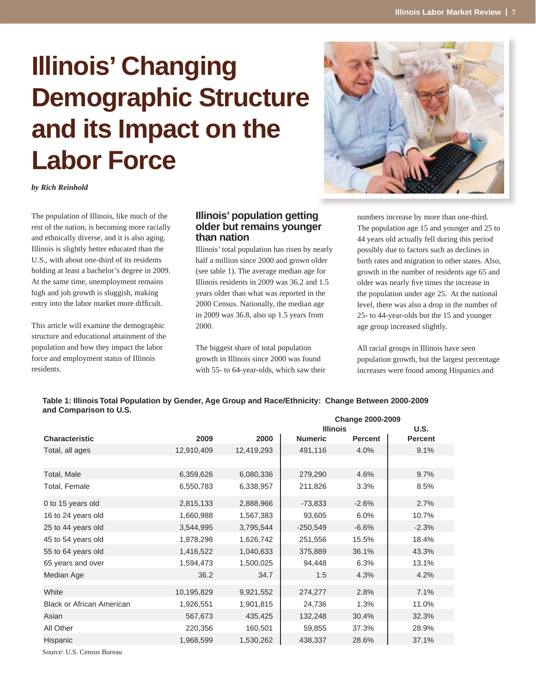# **Illinois' Changing Demographic Structure and its Impact on the Labor Force**



*by Rich Reinhold*

The population of Illinois, like much of the rest of the nation, is becoming more racially and ethnically diverse, and it is also aging. Illinois is slightly better educated than the U.S., with about one-third of its residents holding at least a bachelor's degree in 2009. At the same time, unemployment remains high and job growth is sluggish, making entry into the labor market more difficult.

This article will examine the demographic structure and educational attainment of the population and how they impact the labor force and employment status of Illinois residents.

# **Illinois' population getting older but remains younger than nation**

Illinois' total population has risen by nearly half a million since 2000 and grown older (see table 1). The average median age for Illinois residents in 2009 was 36.2 and 1.5 years older than what was reported in the 2000 Census. Nationally, the median age in 2009 was 36.8, also up 1.5 years from 2000.

The biggest share of total population growth in Illinois since 2000 was found with 55- to 64-year-olds, which saw their numbers increase by more than one-third. The population age 15 and younger and 25 to 44 years old actually fell during this period possibly due to factors such as declines in birth rates and migration to other states. Also, growth in the number of residents age 65 and older was nearly five times the increase in the population under age 25. At the national level, there was also a drop in the number of 25- to 44-year-olds but the 15 and younger age group increased slightly.

All racial groups in Illinois have seen population growth, but the largest percentage increases were found among Hispanics and

#### **Table 1: Illinois Total Population by Gender, Age Group and Race/Ethnicity: Change Between 2000-2009 and Comparison to U.S. Change 2000-2009**

|                                  |            |            | <b>Illinois</b> |                | U.S.           |  |
|----------------------------------|------------|------------|-----------------|----------------|----------------|--|
| <b>Characteristic</b>            | 2009       | 2000       | <b>Numeric</b>  | <b>Percent</b> | <b>Percent</b> |  |
| Total, all ages                  | 12,910,409 | 12,419,293 | 491,116         | 4.0%           | 9.1%           |  |
|                                  |            |            |                 |                |                |  |
| Total, Male                      | 6,359,626  | 6,080,336  | 279,290         | 4.6%           | 9.7%           |  |
| Total, Female                    | 6,550,783  | 6,338,957  | 211,826         | 3.3%           | 8.5%           |  |
| 0 to 15 years old                | 2,815,133  | 2,888,966  | $-73,833$       | $-2.6%$        | 2.7%           |  |
| 16 to 24 years old               | 1,660,988  | 1,567,383  | 93,605          | 6.0%           | 10.7%          |  |
| 25 to 44 years old               | 3,544,995  | 3,795,544  | $-250,549$      | $-6.6%$        | $-2.3%$        |  |
| 45 to 54 years old               | 1,878,298  | 1,626,742  | 251,556         | 15.5%          | 18.4%          |  |
| 55 to 64 years old               | 1,416,522  | 1,040,633  | 375,889         | 36.1%          | 43.3%          |  |
| 65 years and over                | 1,594,473  | 1,500,025  | 94,448          | 6.3%           | 13.1%          |  |
| Median Age                       | 36.2       | 34.7       | 1.5             | 4.3%           | 4.2%           |  |
| White                            | 10,195,829 | 9,921,552  | 274,277         | 2.8%           | 7.1%           |  |
| <b>Black or African American</b> | 1,926,551  | 1,901,815  | 24,736          | 1.3%           | 11.0%          |  |
| Asian                            | 567,673    | 435,425    | 132,248         | 30.4%          | 32.3%          |  |
| All Other                        | 220,356    | 160,501    | 59,855          | 37.3%          | 28.9%          |  |
| Hispanic                         | 1,968,599  | 1,530,262  | 438,337         | 28.6%          | 37.1%          |  |
|                                  |            |            |                 |                |                |  |

Source: U.S. Census Bureau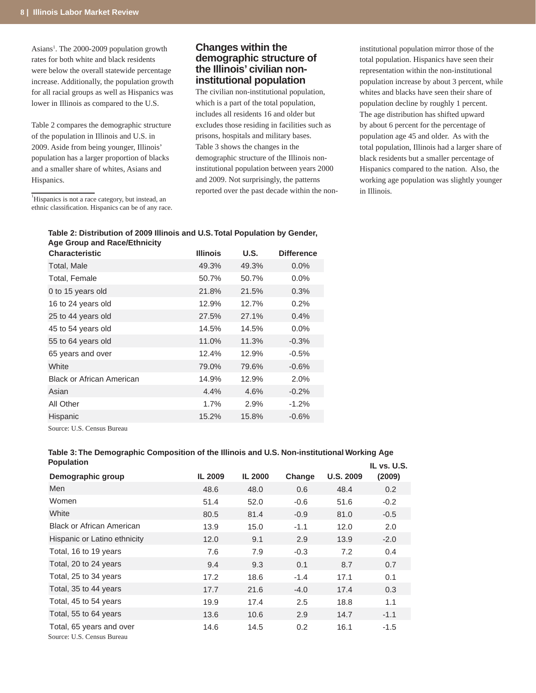Asians<sup>1</sup>. The 2000-2009 population growth rates for both white and black residents were below the overall statewide percentage increase. Additionally, the population growth for all racial groups as well as Hispanics was lower in Illinois as compared to the U.S.

Table 2 compares the demographic structure of the population in Illinois and U.S. in 2009. Aside from being younger, Illinois' population has a larger proportion of blacks and a smaller share of whites, Asians and Hispanics.

<sup>1</sup>Hispanics is not a race category, but instead, an ethnic classification. Hispanics can be of any race.

# **Changes within the demographic structure of the Illinois' civilian noninstitutional population**

The civilian non-institutional population, which is a part of the total population, includes all residents 16 and older but excludes those residing in facilities such as prisons, hospitals and military bases. Table 3 shows the changes in the demographic structure of the Illinois noninstitutional population between years 2000 and 2009. Not surprisingly, the patterns reported over the past decade within the noninstitutional population mirror those of the total population. Hispanics have seen their representation within the non-institutional population increase by about 3 percent, while whites and blacks have seen their share of population decline by roughly 1 percent. The age distribution has shifted upward by about 6 percent for the percentage of population age 45 and older. As with the total population, Illinois had a larger share of black residents but a smaller percentage of Hispanics compared to the nation. Also, the working age population was slightly younger in Illinois.

### **Table 2: Distribution of 2009 Illinois and U.S. Total Population by Gender, Age Group and Race/Ethnicity**

| <b>Characteristic</b>            | <b>Illinois</b> | <b>U.S.</b> | <b>Difference</b> |
|----------------------------------|-----------------|-------------|-------------------|
| Total, Male                      | 49.3%           | 49.3%       | $0.0\%$           |
| Total, Female                    | 50.7%           | 50.7%       | $0.0\%$           |
| 0 to 15 years old                | 21.8%           | 21.5%       | 0.3%              |
| 16 to 24 years old               | 12.9%           | 12.7%       | 0.2%              |
| 25 to 44 years old               | 27.5%           | 27.1%       | 0.4%              |
| 45 to 54 years old               | 14.5%           | 14.5%       | $0.0\%$           |
| 55 to 64 years old               | 11.0%           | 11.3%       | $-0.3\%$          |
| 65 years and over                | 12.4%           | 12.9%       | $-0.5\%$          |
| White                            | 79.0%           | 79.6%       | $-0.6%$           |
| <b>Black or African American</b> | 14.9%           | 12.9%       | 2.0%              |
| Asian                            | 4.4%            | 4.6%        | $-0.2%$           |
| All Other                        | 1.7%            | 2.9%        | $-1.2%$           |
| Hispanic                         | 15.2%           | 15.8%       | $-0.6%$           |

Source: U.S. Census Bureau

### **Table 3: The Demographic Composition of the Illinois and U.S. Non-institutional Working Age Population**

| Population                                             |         |                |        |                  | <b>IL vs. U.S.</b> |
|--------------------------------------------------------|---------|----------------|--------|------------------|--------------------|
| Demographic group                                      | IL 2009 | <b>IL 2000</b> | Change | <b>U.S. 2009</b> | (2009)             |
| Men                                                    | 48.6    | 48.0           | 0.6    | 48.4             | 0.2                |
| Women                                                  | 51.4    | 52.0           | $-0.6$ | 51.6             | $-0.2$             |
| White                                                  | 80.5    | 81.4           | $-0.9$ | 81.0             | $-0.5$             |
| <b>Black or African American</b>                       | 13.9    | 15.0           | $-1.1$ | 12.0             | 2.0                |
| Hispanic or Latino ethnicity                           | 12.0    | 9.1            | 2.9    | 13.9             | $-2.0$             |
| Total, 16 to 19 years                                  | 7.6     | 7.9            | $-0.3$ | 7.2              | $0.4^{\circ}$      |
| Total, 20 to 24 years                                  | 9.4     | 9.3            | 0.1    | 8.7              | 0.7                |
| Total, 25 to 34 years                                  | 17.2    | 18.6           | $-1.4$ | 17.1             | 0.1                |
| Total, 35 to 44 years                                  | 17.7    | 21.6           | $-4.0$ | 17.4             | 0.3                |
| Total, 45 to 54 years                                  | 19.9    | 17.4           | 2.5    | 18.8             | 1.1                |
| Total, 55 to 64 years                                  | 13.6    | 10.6           | 2.9    | 14.7             | $-1.1$             |
| Total, 65 years and over<br>Source: U.S. Census Bureau | 14.6    | 14.5           | 0.2    | 16.1             | $-1.5$             |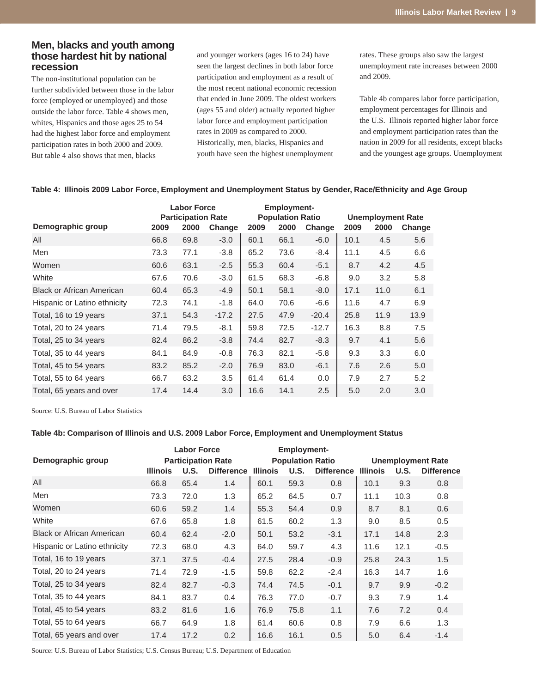# **Men, blacks and youth among those hardest hit by national recession**

The non-institutional population can be further subdivided between those in the labor force (employed or unemployed) and those outside the labor force. Table 4 shows men, whites, Hispanics and those ages 25 to 54 had the highest labor force and employment participation rates in both 2000 and 2009. But table 4 also shows that men, blacks

and younger workers (ages 16 to 24) have seen the largest declines in both labor force participation and employment as a result of the most recent national economic recession that ended in June 2009. The oldest workers (ages 55 and older) actually reported higher labor force and employment participation rates in 2009 as compared to 2000. Historically, men, blacks, Hispanics and youth have seen the highest unemployment

rates. These groups also saw the largest unemployment rate increases between 2000 and 2009.

Table 4b compares labor force participation, employment percentages for Illinois and the U.S. Illinois reported higher labor force and employment participation rates than the nation in 2009 for all residents, except blacks and the youngest age groups. Unemployment

|                                  |      | <b>Labor Force</b>        |         |      | <b>Employment-</b>      |         |      |                          |        |  |
|----------------------------------|------|---------------------------|---------|------|-------------------------|---------|------|--------------------------|--------|--|
|                                  |      | <b>Participation Rate</b> |         |      | <b>Population Ratio</b> |         |      | <b>Unemployment Rate</b> |        |  |
| Demographic group                | 2009 | 2000                      | Change  | 2009 | 2000                    | Change  | 2009 | 2000                     | Change |  |
| All                              | 66.8 | 69.8                      | $-3.0$  | 60.1 | 66.1                    | $-6.0$  | 10.1 | 4.5                      | 5.6    |  |
| Men                              | 73.3 | 77.1                      | $-3.8$  | 65.2 | 73.6                    | $-8.4$  | 11.1 | 4.5                      | 6.6    |  |
| Women                            | 60.6 | 63.1                      | $-2.5$  | 55.3 | 60.4                    | $-5.1$  | 8.7  | 4.2                      | 4.5    |  |
| White                            | 67.6 | 70.6                      | $-3.0$  | 61.5 | 68.3                    | $-6.8$  | 9.0  | 3.2                      | 5.8    |  |
| <b>Black or African American</b> | 60.4 | 65.3                      | $-4.9$  | 50.1 | 58.1                    | $-8.0$  | 17.1 | 11.0                     | 6.1    |  |
| Hispanic or Latino ethnicity     | 72.3 | 74.1                      | $-1.8$  | 64.0 | 70.6                    | $-6.6$  | 11.6 | 4.7                      | 6.9    |  |
| Total, 16 to 19 years            | 37.1 | 54.3                      | $-17.2$ | 27.5 | 47.9                    | $-20.4$ | 25.8 | 11.9                     | 13.9   |  |
| Total, 20 to 24 years            | 71.4 | 79.5                      | $-8.1$  | 59.8 | 72.5                    | $-12.7$ | 16.3 | 8.8                      | 7.5    |  |
| Total, 25 to 34 years            | 82.4 | 86.2                      | $-3.8$  | 74.4 | 82.7                    | $-8.3$  | 9.7  | 4.1                      | 5.6    |  |
| Total, 35 to 44 years            | 84.1 | 84.9                      | $-0.8$  | 76.3 | 82.1                    | $-5.8$  | 9.3  | 3.3                      | 6.0    |  |
| Total, 45 to 54 years            | 83.2 | 85.2                      | $-2.0$  | 76.9 | 83.0                    | $-6.1$  | 7.6  | 2.6                      | 5.0    |  |
| Total, 55 to 64 years            | 66.7 | 63.2                      | 3.5     | 61.4 | 61.4                    | 0.0     | 7.9  | 2.7                      | 5.2    |  |
| Total, 65 years and over         | 17.4 | 14.4                      | 3.0     | 16.6 | 14.1                    | 2.5     | 5.0  | 2.0                      | 3.0    |  |

### **Table 4: Illinois 2009 Labor Force, Employment and Unemployment Status by Gender, Race/Ethnicity and Age Group**

Source: U.S. Bureau of Labor Statistics

#### **Table 4b: Comparison of Illinois and U.S. 2009 Labor Force, Employment and Unemployment Status**

|                                  | <b>Labor Force</b><br><b>Participation Rate</b> |      |                   |                                                                         | <b>Employment-</b> |        |                 |                                                       |        |
|----------------------------------|-------------------------------------------------|------|-------------------|-------------------------------------------------------------------------|--------------------|--------|-----------------|-------------------------------------------------------|--------|
| Demographic group                | <b>Illinois</b>                                 | U.S. | <b>Difference</b> | <b>Population Ratio</b><br>U.S.<br><b>Difference</b><br><b>Illinois</b> |                    |        | <b>Illinois</b> | <b>Unemployment Rate</b><br>U.S.<br><b>Difference</b> |        |
| All                              | 66.8                                            | 65.4 | 1.4               | 60.1                                                                    | 59.3               | 0.8    | 10.1            | 9.3                                                   | 0.8    |
| Men                              | 73.3                                            | 72.0 | 1.3               | 65.2                                                                    | 64.5               | 0.7    | 11.1            | 10.3                                                  | 0.8    |
| Women                            | 60.6                                            | 59.2 | 1.4               | 55.3                                                                    | 54.4               | 0.9    | 8.7             | 8.1                                                   | 0.6    |
| White                            | 67.6                                            | 65.8 | 1.8               | 61.5                                                                    | 60.2               | 1.3    | 9.0             | 8.5                                                   | 0.5    |
| <b>Black or African American</b> | 60.4                                            | 62.4 | $-2.0$            | 50.1                                                                    | 53.2               | $-3.1$ | 17.1            | 14.8                                                  | 2.3    |
| Hispanic or Latino ethnicity     | 72.3                                            | 68.0 | 4.3               | 64.0                                                                    | 59.7               | 4.3    | 11.6            | 12.1                                                  | $-0.5$ |
| Total, 16 to 19 years            | 37.1                                            | 37.5 | $-0.4$            | 27.5                                                                    | 28.4               | $-0.9$ | 25.8            | 24.3                                                  | 1.5    |
| Total, 20 to 24 years            | 71.4                                            | 72.9 | $-1.5$            | 59.8                                                                    | 62.2               | $-2.4$ | 16.3            | 14.7                                                  | 1.6    |
| Total, 25 to 34 years            | 82.4                                            | 82.7 | $-0.3$            | 74.4                                                                    | 74.5               | $-0.1$ | 9.7             | 9.9                                                   | $-0.2$ |
| Total, 35 to 44 years            | 84.1                                            | 83.7 | 0.4               | 76.3                                                                    | 77.0               | $-0.7$ | 9.3             | 7.9                                                   | 1.4    |
| Total, 45 to 54 years            | 83.2                                            | 81.6 | 1.6               | 76.9                                                                    | 75.8               | 1.1    | 7.6             | 7.2                                                   | 0.4    |
| Total, 55 to 64 years            | 66.7                                            | 64.9 | 1.8               | 61.4                                                                    | 60.6               | 0.8    | 7.9             | 6.6                                                   | 1.3    |
| Total, 65 years and over         | 17.4                                            | 17.2 | 0.2               | 16.6                                                                    | 16.1               | 0.5    | 5.0             | 6.4                                                   | $-1.4$ |

Source: U.S. Bureau of Labor Statistics; U.S. Census Bureau; U.S. Department of Education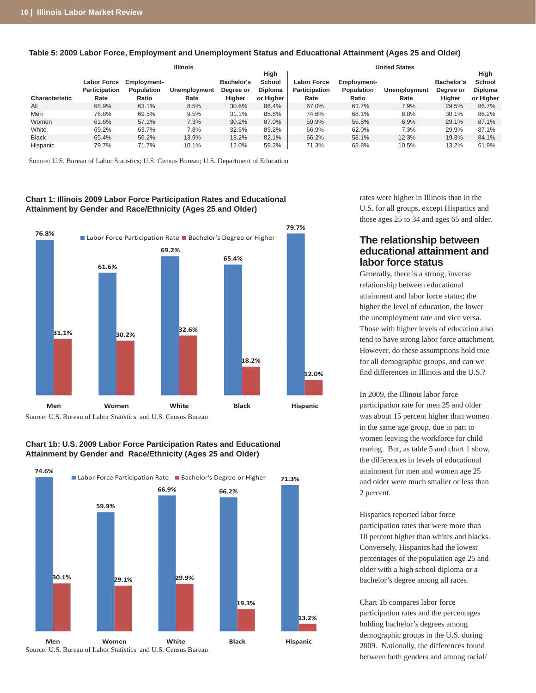|                       |                    |                    | <b>Illinois</b> | <b>United States</b> |                |                    |             |                     |            |           |
|-----------------------|--------------------|--------------------|-----------------|----------------------|----------------|--------------------|-------------|---------------------|------------|-----------|
|                       |                    |                    |                 |                      | High           |                    |             |                     |            | High      |
|                       | <b>Labor Force</b> | <b>Employment-</b> |                 | Bachelor's           | School         | <b>Labor Force</b> | Employment- |                     | Bachelor's | School    |
|                       | Participation      | Population         | Unemployment    | Degree or            | <b>Diploma</b> | Participation      | Population  | <b>Unemployment</b> | Degree or  | Diploma   |
| <b>Characteristic</b> | Rate               | Ratio              | Rate            | Higher               | or Higher      | Rate               | Ratio       | Rate                | Higher     | or Higher |
| All                   | 68.9%              | 63.1%              | 8.5%            | 30.6%                | 86.4%          | 67.0%              | 61.7%       | 7.9%                | 29.5%      | 86.7%     |
| Men                   | 76.8%              | 69.5%              | 9.5%            | 31.1%                | 85.8%          | 74.6%              | 68.1%       | 8.8%                | 30.1%      | 86.2%     |
| Women                 | 61.6%              | 57.1%              | 7.3%            | 30.2%                | 87.0%          | 59.9%              | 55.8%       | 6.9%                | 29.1%      | 87.1%     |
| White                 | 69.2%              | 63.7%              | 7.8%            | 32.6%                | 89.2%          | 66.9%              | 62.0%       | 7.3%                | 29.9%      | 87.1%     |
| <b>Black</b>          | 65.4%              | 56.2%              | 13.9%           | 18.2%                | 82.1%          | 66.2%              | 58.1%       | 12.3%               | 19.3%      | 84.1%     |
| Hispanic              | 79.7%              | 71.7%              | 10.1%           | 12.0%                | 59.2%          | 71.3%              | 63.8%       | 10.5%               | 13.2%      | 61.9%     |

#### **Table 5: 2009 Labor Force, Employment and Unemployment Status and Educational Attainment (Ages 25 and Older)**

Source: U.S. Bureau of Labor Statistics; U.S. Census Bureau; U.S. Department of Education

#### **Chart 1: Illinois 2009 Labor Force Participation Rates and Educational Attainment by Gender and Race/Ethnicity (Ages 25 and Older)**



Source: U.S. Bureau of Labor Statistics and U.S. Census Bureau

### **Chart 1b: U.S. 2009 Labor Force Participation Rates and Educational Attainment by Gender and Race/Ethnicity (Ages 25 and Older)**



rates were higher in Illinois than in the U.S. for all groups, except Hispanics and those ages 25 to 34 and ages 65 and older.

# **The relationship between educational attainment and labor force status**

Generally, there is a strong, inverse relationship between educational attainment and labor force status; the higher the level of education, the lower the unemployment rate and vice versa. Those with higher levels of education also tend to have strong labor force attachment. However, do these assumptions hold true for all demographic groups, and can we find differences in Illinois and the U.S.?

In 2009, the Illinois labor force participation rate for men 25 and older was about 15 percent higher than women in the same age group, due in part to women leaving the workforce for child rearing. But, as table 5 and chart 1 show, the differences in levels of educational attainment for men and women age 25 and older were much smaller or less than 2 percent.

Hispanics reported labor force participation rates that were more than 10 percent higher than whites and blacks. Conversely, Hispanics had the lowest percentages of the population age 25 and older with a high school diploma or a bachelor's degree among all races.

Chart 1b compares labor force participation rates and the percentages holding bachelor's degrees among demographic groups in the U.S. during 2009. Nationally, the differences found between both genders and among racial/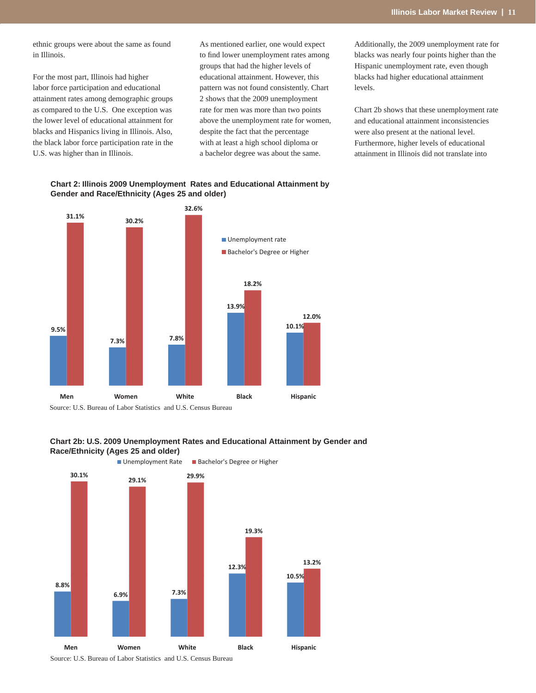ethnic groups were about the same as found in Illinois.

For the most part, Illinois had higher labor force participation and educational attainment rates among demographic groups as compared to the U.S. One exception was the lower level of educational attainment for blacks and Hispanics living in Illinois. Also, the black labor force participation rate in the U.S. was higher than in Illinois.

As mentioned earlier, one would expect to find lower unemployment rates among groups that had the higher levels of educational attainment. However, this pattern was not found consistently. Chart 2 shows that the 2009 unemployment rate for men was more than two points above the unemployment rate for women, despite the fact that the percentage with at least a high school diploma or a bachelor degree was about the same.

Additionally, the 2009 unemployment rate for blacks was nearly four points higher than the Hispanic unemployment rate, even though blacks had higher educational attainment levels.

Chart 2b shows that these unemployment rate and educational attainment inconsistencies were also present at the national level. Furthermore, higher levels of educational attainment in Illinois did not translate into









Source: U.S. Bureau of Labor Statistics and U.S. Census Bureau

#### **Chart 2: Illinois 2009 Unemployment Rates and Educational Attainment by Gender and Race/Ethnicity (Ages 25 and older)**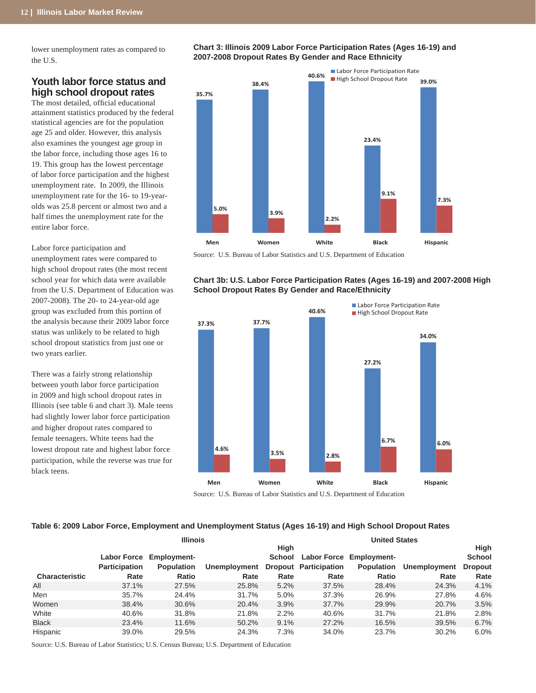lower unemployment rates as compared to the U.S.

# **Youth labor force status and high school dropout rates**

The most detailed, official educational attainment statistics produced by the federal statistical agencies are for the population age 25 and older. However, this analysis also examines the youngest age group in the labor force, including those ages 16 to 19. This group has the lowest percentage of labor force participation and the highest unemployment rate. In 2009, the Illinois unemployment rate for the 16- to 19-yearolds was 25.8 percent or almost two and a half times the unemployment rate for the entire labor force.

Labor force participation and unemployment rates were compared to high school dropout rates (the most recent school year for which data were available from the U.S. Department of Education was 2007-2008). The 20- to 24-year-old age group was excluded from this portion of the analysis because their 2009 labor force status was unlikely to be related to high school dropout statistics from just one or two years earlier.

There was a fairly strong relationship between youth labor force participation in 2009 and high school dropout rates in Illinois (see table 6 and chart 3). Male teens had slightly lower labor force participation and higher dropout rates compared to female teenagers. White teens had the lowest dropout rate and highest labor force participation, while the reverse was true for black teens.

**Chart 3: Illinois 2009 Labor Force Participation Rates (Ages 16-19) and 2007-2008 Dropout Rates By Gender and Race Ethnicity**



Source: U.S. Bureau of Labor Statistics and U.S. Department of Education

#### **Chart 3b: U.S. Labor Force Participation Rates (Ages 16-19) and 2007-2008 High School Dropout Rates By Gender and Race/Ethnicity**



Source: U.S. Bureau of Labor Statistics and U.S. Department of Education

#### **Table 6: 2009 Labor Force, Employment and Unemployment Status (Ages 16-19) and High School Dropout Rates**

|                       |                      | <b>Illinois</b>         |              | <b>United States</b> |                              |                                |              |                |  |
|-----------------------|----------------------|-------------------------|--------------|----------------------|------------------------------|--------------------------------|--------------|----------------|--|
|                       |                      |                         |              | High                 |                              |                                | <b>High</b>  |                |  |
|                       |                      | Labor Force Employment- |              |                      |                              | School Labor Force Employment- |              | <b>School</b>  |  |
|                       | <b>Participation</b> | <b>Population</b>       | Unemployment |                      | <b>Dropout Participation</b> | <b>Population</b>              | Unemployment | <b>Dropout</b> |  |
| <b>Characteristic</b> | Rate                 | Ratio                   | Rate         | Rate                 | Rate                         | Ratio                          | Rate         | Rate           |  |
| All                   | 37.1%                | 27.5%                   | 25.8%        | 5.2%                 | 37.5%                        | 28.4%                          | 24.3%        | 4.1%           |  |
| Men                   | 35.7%                | 24.4%                   | 31.7%        | 5.0%                 | 37.3%                        | 26.9%                          | 27.8%        | 4.6%           |  |
| Women                 | 38.4%                | 30.6%                   | 20.4%        | 3.9%                 | 37.7%                        | 29.9%                          | 20.7%        | 3.5%           |  |
| White                 | 40.6%                | 31.8%                   | 21.8%        | 2.2%                 | 40.6%                        | 31.7%                          | 21.8%        | 2.8%           |  |
| <b>Black</b>          | 23.4%                | 11.6%                   | 50.2%        | 9.1%                 | 27.2%                        | 16.5%                          | 39.5%        | 6.7%           |  |
| Hispanic              | 39.0%                | 29.5%                   | 24.3%        | 7.3%                 | 34.0%                        | 23.7%                          | 30.2%        | 6.0%           |  |

Source: U.S. Bureau of Labor Statistics; U.S. Census Bureau; U.S. Department of Education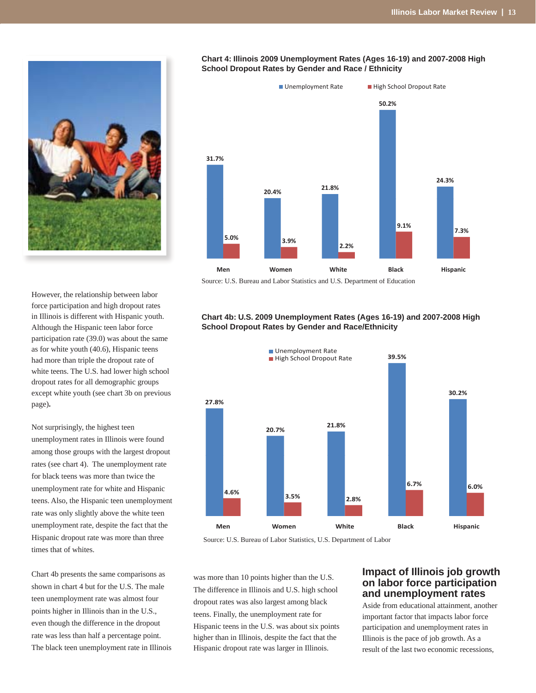

# However, the relationship between labor force participation and high dropout rates in Illinois is different with Hispanic youth. Although the Hispanic teen labor force participation rate (39.0) was about the same as for white youth (40.6), Hispanic teens had more than triple the dropout rate of white teens. The U.S. had lower high school dropout rates for all demographic groups except white youth (see chart 3b on previous page)**.**

Not surprisingly, the highest teen unemployment rates in Illinois were found among those groups with the largest dropout rates (see chart 4). The unemployment rate for black teens was more than twice the unemployment rate for white and Hispanic teens. Also, the Hispanic teen unemployment rate was only slightly above the white teen unemployment rate, despite the fact that the Hispanic dropout rate was more than three times that of whites.

Chart 4b presents the same comparisons as shown in chart 4 but for the U.S. The male teen unemployment rate was almost four points higher in Illinois than in the U.S., even though the difference in the dropout rate was less than half a percentage point. The black teen unemployment rate in Illinois



#### **Chart 4: Illinois 2009 Unemployment Rates (Ages 16-19) and 2007-2008 High School Dropout Rates by Gender and Race / Ethnicity**

Source: U.S. Bureau and Labor Statistics and U.S. Department of Education

#### **Chart 4b: U.S. 2009 Unemployment Rates (Ages 16-19) and 2007-2008 High School Dropout Rates by Gender and Race/Ethnicity**



Source: U.S. Bureau of Labor Statistics, U.S. Department of Labor

was more than 10 points higher than the U.S. The difference in Illinois and U.S. high school dropout rates was also largest among black teens. Finally, the unemployment rate for Hispanic teens in the U.S. was about six points higher than in Illinois, despite the fact that the Hispanic dropout rate was larger in Illinois.

# **Impact of Illinois job growth on labor force participation and unemployment rates**

Aside from educational attainment, another important factor that impacts labor force participation and unemployment rates in Illinois is the pace of job growth. As a result of the last two economic recessions,